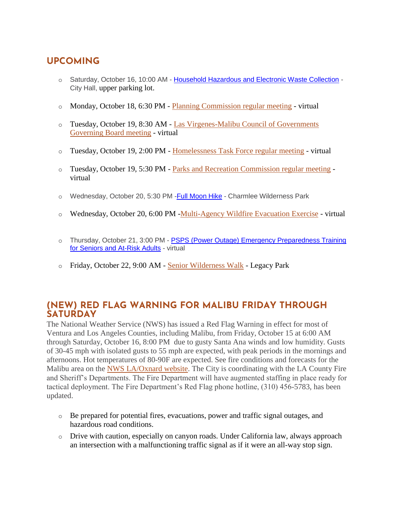## **UPCOMING**

- o Saturday, October 16, 10:00 AM [Household Hazardous and Electronic Waste Collection](https://malibucity.org/Calendar.aspx?EID=5701&month=10&year=2021&day=16&calType=0) -City Hall, upper parking lot.
- o Monday, October 18, 6:30 PM [Planning Commission regular meeting](https://www.malibucity.org/Calendar.aspx?EID=5511&month=10&year=2021&day=18&calType=0) virtual
- o Tuesday, October 19, 8:30 AM [Las Virgenes-Malibu Council of Governments](https://www.malibucity.org/Calendar.aspx?EID=5434&month=10&year=2021&day=19&calType=0)  [Governing Board meeting](https://www.malibucity.org/Calendar.aspx?EID=5434&month=10&year=2021&day=19&calType=0) - virtual
- $\circ$  Tuesday, October 19, 2:00 PM [Homelessness Task Force regular meeting](https://www.malibucity.org/Calendar.aspx?EID=6083&month=10&year=2021&day=19&calType=0) virtual
- o Tuesday, October 19, 5:30 PM [Parks and Recreation Commission regular meeting](https://www.malibucity.org/Calendar.aspx?EID=5631&month=10&year=2021&day=19&calType=0) virtual
- o Wednesday, October 20, 5:30 PM Full Moon Hike Charmlee Wilderness Park
- o Wednesday, October 20, 6:00 PM [-Multi-Agency Wildfire Evacuation Exercise](https://www.malibucity.org/firesafety) virtual
- o Thursday, October 21, 3:00 PM [PSPS \(Power Outage\) Emergency Preparedness Training](https://www.eventbrite.com/o/city-of-malibu-16924309641)  [for Seniors and At-Risk Adults](https://www.eventbrite.com/o/city-of-malibu-16924309641) - virtual
- o Friday, October 22, 9:00 AM [Senior Wilderness Walk](https://www.malibucity.org/Calendar.aspx?EID=6100&month=10&year=2021&day=22&calType=0) Legacy Park

### **(NEW) RED FLAG WARNING FOR MALIBU FRIDAY THROUGH SATURDAY**

The National Weather Service (NWS) has issued a Red Flag Warning in effect for most of Ventura and Los Angeles Counties, including Malibu, from Friday, October 15 at 6:00 AM through Saturday, October 16, 8:00 PM due to gusty Santa Ana winds and low humidity. Gusts of 30-45 mph with isolated gusts to 55 mph are expected, with peak periods in the mornings and afternoons. Hot temperatures of 80-90F are expected. See fire conditions and forecasts for the Malibu area on the [NWS LA/Oxnard website.](https://www.weather.gov/lox) The City is coordinating with the LA County Fire and Sheriff's Departments. The Fire Department will have augmented staffing in place ready for tactical deployment. The Fire Department's Red Flag phone hotline, (310) 456-5783, has been updated.

- $\circ$  Be prepared for potential fires, evacuations, power and traffic signal outages, and hazardous road conditions.
- o Drive with caution, especially on canyon roads. Under California law, always approach an intersection with a malfunctioning traffic signal as if it were an all-way stop sign.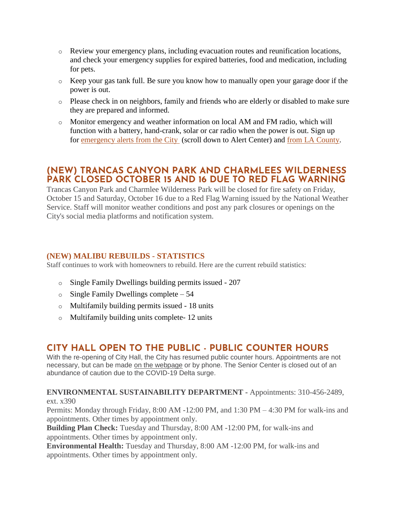- o Review your emergency plans, including evacuation routes and reunification locations, and check your emergency supplies for expired batteries, food and medication, including for pets.
- o Keep your gas tank full. Be sure you know how to manually open your garage door if the power is out.
- o Please check in on neighbors, family and friends who are elderly or disabled to make sure they are prepared and informed.
- o Monitor emergency and weather information on local AM and FM radio, which will function with a battery, hand-crank, solar or car radio when the power is out. Sign up for [emergency alerts from the City](https://www.malibucity.org/news) (scroll down to Alert Center) and [from LA County.](https://lacounty.gov/emergency/alert-la/)

### **(NEW) TRANCAS CANYON PARK AND CHARMLEES WILDERNESS PARK CLOSED OCTOBER 15 AND 16 DUE TO RED FLAG WARNING**

Trancas Canyon Park and Charmlee Wilderness Park will be closed for fire safety on Friday, October 15 and Saturday, October 16 due to a Red Flag Warning issued by the National Weather Service. Staff will monitor weather conditions and post any park closures or openings on the City's social media platforms and notification system.

#### **(NEW) MALIBU REBUILDS - STATISTICS**

Staff continues to work with homeowners to rebuild. Here are the current rebuild statistics:

- o Single Family Dwellings building permits issued 207
- $\circ$  Single Family Dwellings complete 54
- o Multifamily building permits issued 18 units
- o Multifamily building units complete- 12 units

### **CITY HALL OPEN TO THE PUBLIC - PUBLIC COUNTER HOURS**

With the re-opening of City Hall, the City has resumed public counter hours. Appointments are not necessary, but can be made [on the webpage](https://www.malibucity.org/appointments) or by phone. The Senior Center is closed out of an abundance of caution due to the COVID-19 Delta surge.

#### **ENVIRONMENTAL SUSTAINABILITY DEPARTMENT -** Appointments: 310-456-2489, ext. x390

Permits: Monday through Friday, 8:00 AM -12:00 PM, and 1:30 PM – 4:30 PM for walk-ins and appointments. Other times by appointment only.

**Building Plan Check:** Tuesday and Thursday, 8:00 AM -12:00 PM, for walk-ins and appointments. Other times by appointment only.

**Environmental Health:** Tuesday and Thursday, 8:00 AM -12:00 PM, for walk-ins and appointments. Other times by appointment only.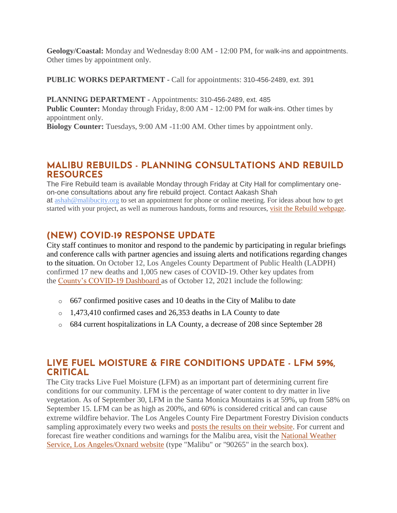**Geology/Coastal:** Monday and Wednesday 8:00 AM - 12:00 PM, for walk-ins and appointments. Other times by appointment only.

**PUBLIC WORKS DEPARTMENT -** Call for appointments: 310-456-2489, ext. 391

**PLANNING DEPARTMENT -** Appointments: 310-456-2489, ext. 485 **Public Counter:** Monday through Friday, 8:00 AM - 12:00 PM for walk-ins. Other times by appointment only.

**Biology Counter:** Tuesdays, 9:00 AM -11:00 AM. Other times by appointment only.

### **MALIBU REBUILDS - PLANNING CONSULTATIONS AND REBUILD RESOURCES**

The Fire Rebuild team is available Monday through Friday at City Hall for complimentary oneon-one consultations about any fire rebuild project. Contact Aakash Shah at [ashah@malibucity.org](mailto:ashah@malibucity.org) to set an appointment for phone or online meeting. For ideas about how to get started with your project, as well as numerous handouts, forms and resources, visit the Rebuild [webpage.](https://www.malibucity.org/901/Malibu-Rebuilds)

## **(NEW) COVID-19 RESPONSE UPDATE**

City staff continues to monitor and respond to the pandemic by participating in regular briefings and conference calls with partner agencies and issuing alerts and notifications regarding changes to the situation. On October 12, Los Angeles County Department of Public Health (LADPH) confirmed 17 new deaths and 1,005 new cases of COVID-19. Other key updates from the [County's COVID-19 Dashboard](http://publichealth.lacounty.gov/media/coronavirus/data/index.htm) as of October 12, 2021 include the following:

- o 667 confirmed positive cases and 10 deaths in the City of Malibu to date
- o 1,473,410 confirmed cases and 26,353 deaths in LA County to date
- o 684 current hospitalizations in LA County, a decrease of 208 since September 28

### **LIVE FUEL MOISTURE & FIRE CONDITIONS UPDATE - LFM 59%, CRITICAL**

The City tracks Live Fuel Moisture (LFM) as an important part of determining current fire conditions for our community. LFM is the percentage of water content to dry matter in live vegetation. As of September 30, LFM in the Santa Monica Mountains is at 59%, up from 58% on September 15. LFM can be as high as 200%, and 60% is considered critical and can cause extreme wildfire behavior. The Los Angeles County Fire Department Forestry Division conducts sampling approximately every two weeks and [posts the results on their website.](https://fire.lacounty.gov/fire-weather-danger) For current and forecast fire weather conditions and warnings for the Malibu area, visit the [National Weather](https://www.weather.gov/lox/)  [Service, Los Angeles/Oxnard website](https://www.weather.gov/lox/) (type "Malibu" or "90265" in the search box).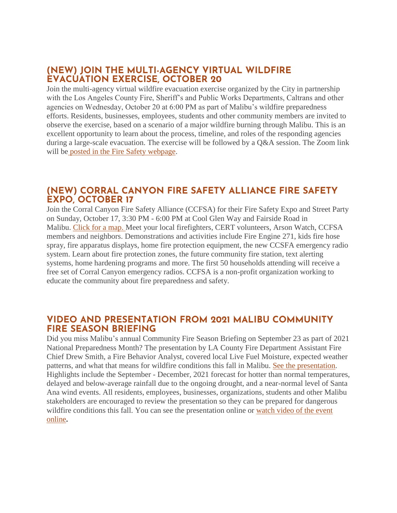### **(NEW) JOIN THE MULTI-AGENCY VIRTUAL WILDFIRE EVACUATION EXERCISE, OCTOBER 20**

Join the multi-agency virtual wildfire evacuation exercise organized by the City in partnership with the Los Angeles County Fire, Sheriff's and Public Works Departments, Caltrans and other agencies on Wednesday, October 20 at 6:00 PM as part of Malibu's wildfire preparedness efforts. Residents, businesses, employees, students and other community members are invited to observe the exercise, based on a scenario of a major wildfire burning through Malibu. This is an excellent opportunity to learn about the process, timeline, and roles of the responding agencies during a large-scale evacuation. The exercise will be followed by a Q&A session. The Zoom link will be [posted in the Fire Safety webpage.](https://www.malibucity.org/firesafety)

### **(NEW) CORRAL CANYON FIRE SAFETY ALLIANCE FIRE SAFETY EXPO, OCTOBER 17**

Join the Corral Canyon Fire Safety Alliance (CCFSA) for their Fire Safety Expo and Street Party on Sunday, October 17, 3:30 PM - 6:00 PM at Cool Glen Way and Fairside Road in Malibu. [Click for a map.](https://goo.gl/maps/Y9Gd859UtAgUx97X6) Meet your local firefighters, CERT volunteers, Arson Watch, CCFSA members and neighbors. Demonstrations and activities include Fire Engine 271, kids fire hose spray, fire apparatus displays, home fire protection equipment, the new CCSFA emergency radio system. Learn about fire protection zones, the future community fire station, text alerting systems, home hardening programs and more. The first 50 households attending will receive a free set of Corral Canyon emergency radios. CCFSA is a non-profit organization working to educate the community about fire preparedness and safety.

#### **VIDEO AND PRESENTATION FROM 2021 MALIBU COMMUNITY FIRE SEASON BRIEFING**

Did you miss Malibu's annual Community Fire Season Briefing on September 23 as part of 2021 National Preparedness Month? The presentation by LA County Fire Department Assistant Fire Chief Drew Smith, a Fire Behavior Analyst, covered local Live Fuel Moisture, expected weather patterns, and what that means for wildfire conditions this fall in Malibu. [See the presentation.](https://www.malibucity.org/DocumentCenter/View/28679/2021_Community_Wildfire_Briefing_ChiefSmith) Highlights include the September - December, 2021 forecast for hotter than normal temperatures, delayed and below-average rainfall due to the ongoing drought, and a near-normal level of Santa Ana wind events. All residents, employees, businesses, organizations, students and other Malibu stakeholders are encouraged to review the presentation so they can be prepared for dangerous wildfire conditions this fall. You can see the presentation online or [watch video of the event](https://www.youtube.com/watch?v=pVOgituwP0Q)  [online](https://www.youtube.com/watch?v=pVOgituwP0Q)**.**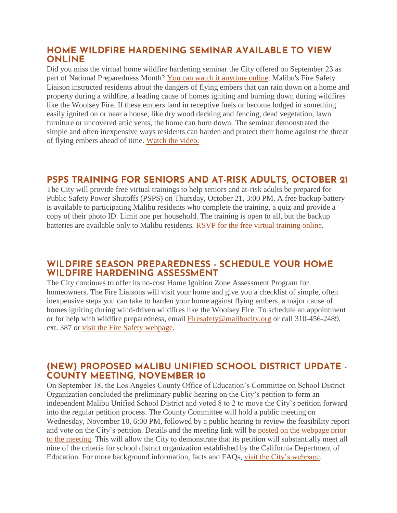#### **HOME WILDFIRE HARDENING SEMINAR AVAILABLE TO VIEW ONLINE**

Did you miss the virtual home wildfire hardening seminar the City offered on September 23 as part of National Preparedness Month? [You can watch it anytime online.](https://www.youtube.com/watch?v=vft8JoeJckY) Malibu's Fire Safety Liaison instructed residents about the dangers of flying embers that can rain down on a home and property during a wildfire, a leading cause of homes igniting and burning down during wildfires like the Woolsey Fire. If these embers land in receptive fuels or become lodged in something easily ignited on or near a house, like dry wood decking and fencing, dead vegetation, lawn furniture or uncovered attic vents, the home can burn down. The seminar demonstrated the simple and often inexpensive ways residents can harden and protect their home against the threat of flying embers ahead of time. [Watch the video.](https://www.youtube.com/watch?v=vft8JoeJckY)

### **PSPS TRAINING FOR SENIORS AND AT-RISK ADULTS, OCTOBER 21**

The City will provide free virtual trainings to help seniors and at-risk adults be prepared for Public Safety Power Shutoffs (PSPS) on Thursday, October 21, 3:00 PM. A free backup battery is available to participating Malibu residents who complete the training, a quiz and provide a copy of their photo ID. Limit one per household. The training is open to all, but the backup batteries are available only to Malibu residents. [RSVP for the free virtual training online.](https://www.eventbrite.com/o/city-of-malibu-16924309641)

### **WILDFIRE SEASON PREPAREDNESS - SCHEDULE YOUR HOME WILDFIRE HARDENING ASSESSMENT**

The City continues to offer its no-cost Home Ignition Zone Assessment Program for homeowners. The Fire Liaisons will visit your home and give you a checklist of simple, often inexpensive steps you can take to harden your home against flying embers, a major cause of homes igniting during wind-driven wildfires like the Woolsey Fire. To schedule an appointment or for help with wildfire preparedness, email [Firesafety@malibucity.org](mailto:Firesafety@malibucity.org) or call 310-456-2489, ext. 387 or [visit the Fire Safety webpage.](https://www.malibucity.org/952/Fire-Safety)

### **(NEW) PROPOSED MALIBU UNIFIED SCHOOL DISTRICT UPDATE - COUNTY MEETING, NOVEMBER 10**

On September 18, the Los Angeles County Office of Education's Committee on School District Organization concluded the preliminary public hearing on the City's petition to form an independent Malibu Unified School District and voted 8 to 2 to move the City's petition forward into the regular petition process. The County Committee will hold a public meeting on Wednesday, November 10, 6:00 PM, followed by a public hearing to review the feasibility report and vote on the City's petition. Details and the meeting link will be [posted on the webpage prior](https://www.malibucity.org/musd)  [to the meeting.](https://www.malibucity.org/musd) This will allow the City to demonstrate that its petition will substantially meet all nine of the criteria for school district organization established by the California Department of Education. For more background information, facts and FAQs, [visit the City's webpage.](https://www.malibucity.org/musd)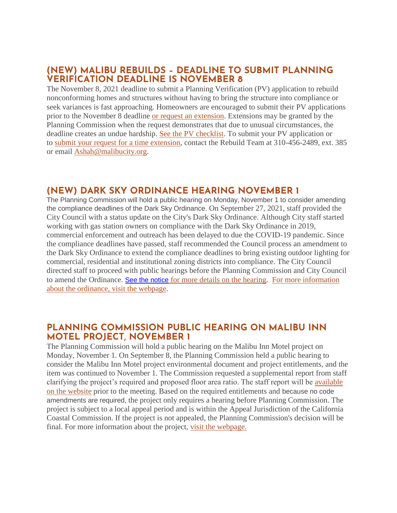### **(NEW) MALIBU REBUILDS – DEADLINE TO SUBMIT PLANNING VERIFICATION DEADLINE IS NOVEMBER 8**

The November 8, 2021 deadline to submit a Planning Verification (PV) application to rebuild nonconforming homes and structures without having to bring the structure into compliance or seek variances is fast approaching. Homeowners are encouraged to submit their PV applications prior to the November 8 deadline [or request an extension.](https://www.malibucity.org/DocumentCenter/View/27084/PLN-WF-Time-Extension-Request) Extensions may be granted by the Planning Commission when the request demonstrates that due to unusual circumstances, the deadline creates an undue hardship. [See the PV checklist.](https://www.malibucity.org/DocumentCenter/View/23370/Planning-Verification-Submittal-Checklist) To submit your PV application or to [submit your request for a time extension,](https://www.malibucity.org/DocumentCenter/View/27084/PLN-WF-Time-Extension-Request) contact the Rebuild Team at 310-456-2489, ext. 385 or email [Ashah@malibucity.org.](mailto:Ashah@malibucity.org)

### **(NEW) DARK SKY ORDINANCE HEARING NOVEMBER 1**

The Planning Commission will hold a public hearing on Monday, November 1 to consider amending the compliance deadlines of the Dark Sky Ordinance. On September 27, 2021, staff provided the City Council with a status update on the City's Dark Sky Ordinance. Although City staff started working with gas station owners on compliance with the Dark Sky Ordinance in 2019, commercial enforcement and outreach has been delayed to due the COVID-19 pandemic. Since the compliance deadlines have passed, staff recommended the Council process an amendment to the Dark Sky Ordinance to extend the compliance deadlines to bring existing outdoor lighting for commercial, residential and institutional zoning districts into compliance. The City Council directed staff to proceed with public hearings before the Planning Commission and City Council to amend the Ordinance. [See the notice](https://malibucity.org/DocumentCenter/View/28739/November-1-2021-Planning-Commission-Hearing) [for more details on the hearing.](https://malibucity.org/DocumentCenter/View/28739/November-1-2021-Planning-Commission-Hearing) [For more information](https://www.malibucity.org/darksky)  [about the ordinance, visit the webpage.](https://www.malibucity.org/darksky)

#### **PLANNING COMMISSION PUBLIC HEARING ON MALIBU INN MOTEL PROJECT, NOVEMBER 1**

The Planning Commission will hold a public hearing on the Malibu Inn Motel project on Monday, November 1. On September 8, the Planning Commission held a public hearing to consider the Malibu Inn Motel project environmental document and project entitlements, and the item was continued to November 1. The Commission requested a supplemental report from staff clarifying the project's required and proposed floor area ratio. The staff report will be [available](https://www.malibucity.org/agendacenter)  [on the website](https://www.malibucity.org/agendacenter) prior to the meeting. Based on the required entitlements and because no code amendments are required, the project only requires a hearing before Planning Commission. The project is subject to a local appeal period and is within the Appeal Jurisdiction of the California Coastal Commission. If the project is not appealed, the Planning Commission's decision will be final. For more information about the project, [visit the webpage.](https://www.malibucity.org/810/Malibu-Inn-Motel)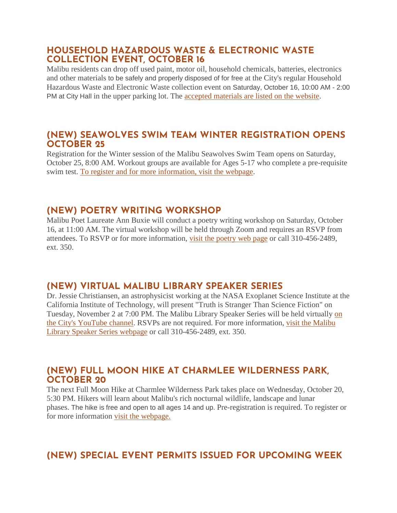#### **HOUSEHOLD HAZARDOUS WASTE & ELECTRONIC WASTE COLLECTION EVENT, OCTOBER 16**

Malibu residents can drop off used paint, motor oil, household chemicals, batteries, electronics and other materials to be safely and properly disposed of for free at the City's regular Household Hazardous Waste and Electronic Waste collection event on Saturday, October 16, 10:00 AM - 2:00 PM at City Hall in the upper parking lot. The [accepted materials are listed on the website.](https://www.malibucity.org/Calendar.aspx?EID=5701)

#### **(NEW) SEAWOLVES SWIM TEAM WINTER REGISTRATION OPENS OCTOBER 25**

Registration for the Winter session of the Malibu Seawolves Swim Team opens on Saturday, October 25, 8:00 AM. Workout groups are available for Ages 5-17 who complete a pre-requisite swim test. [To register and for more information, visit the webpage.](https://www.malibucity.org/register)

## **(NEW) POETRY WRITING WORKSHOP**

Malibu Poet Laureate Ann Buxie will conduct a poetry writing workshop on Saturday, October 16, at 11:00 AM. The virtual workshop will be held through Zoom and requires an RSVP from attendees. To RSVP or for more information, [visit the poetry web page](https://www.malibucity.org/poetry) or call 310-456-2489, ext. 350.

### **(NEW) VIRTUAL MALIBU LIBRARY SPEAKER SERIES**

Dr. Jessie Christiansen, an astrophysicist working at the NASA Exoplanet Science Institute at the California Institute of Technology, will present "Truth is Stranger Than Science Fiction" on Tuesday, November 2 at 7:00 PM. The Malibu Library Speaker Series will be held virtually [on](https://www.youtube.com/user/CityofMalibu/videos)  [the City's YouTube channel.](https://www.youtube.com/user/CityofMalibu/videos) RSVPs are not required. For more information, [visit the Malibu](https://malibucity.org/722/Malibu-Library-Speaker-Series)  [Library Speaker Series webpage](https://malibucity.org/722/Malibu-Library-Speaker-Series) or call 310-456-2489, ext. 350.

### **(NEW) FULL MOON HIKE AT CHARMLEE WILDERNESS PARK, OCTOBER 20**

The next Full Moon Hike at Charmlee Wilderness Park takes place on Wednesday, October 20, 5:30 PM. Hikers will learn about Malibu's rich nocturnal wildlife, landscape and lunar phases. The hike is free and open to all ages 14 and up. Pre-registration is required. To register or for more information [visit the webpage.](https://www.malibucity.org/register)

# **(NEW) SPECIAL EVENT PERMITS ISSUED FOR UPCOMING WEEK**